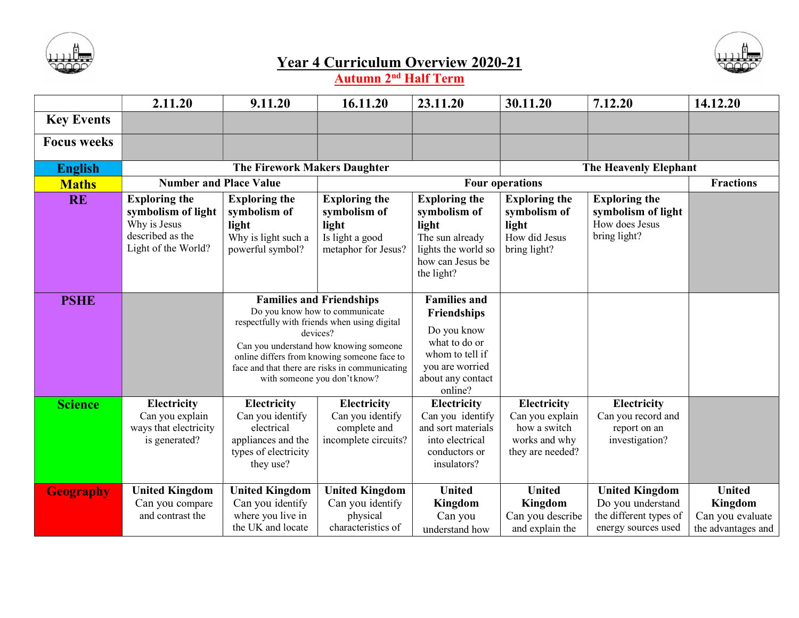



## Year 4 Curriculum Overview 2020-21

Autumn 2<sup>nd</sup> Half Term

|                    | 2.11.20                                                                                               | 9.11.20                                                                                                                                                                                                                                                                                                  | 16.11.20                                                                                | 23.11.20                                                                                                                                 | 30.11.20                                                                                   | 7.12.20                                                                                     | 14.12.20                                                           |  |
|--------------------|-------------------------------------------------------------------------------------------------------|----------------------------------------------------------------------------------------------------------------------------------------------------------------------------------------------------------------------------------------------------------------------------------------------------------|-----------------------------------------------------------------------------------------|------------------------------------------------------------------------------------------------------------------------------------------|--------------------------------------------------------------------------------------------|---------------------------------------------------------------------------------------------|--------------------------------------------------------------------|--|
| <b>Key Events</b>  |                                                                                                       |                                                                                                                                                                                                                                                                                                          |                                                                                         |                                                                                                                                          |                                                                                            |                                                                                             |                                                                    |  |
| <b>Focus weeks</b> |                                                                                                       |                                                                                                                                                                                                                                                                                                          |                                                                                         |                                                                                                                                          |                                                                                            |                                                                                             |                                                                    |  |
| <b>English</b>     | <b>The Firework Makers Daughter</b>                                                                   |                                                                                                                                                                                                                                                                                                          |                                                                                         |                                                                                                                                          | The Heavenly Elephant                                                                      |                                                                                             |                                                                    |  |
| <b>Maths</b>       | <b>Number and Place Value</b>                                                                         |                                                                                                                                                                                                                                                                                                          |                                                                                         |                                                                                                                                          | <b>Four operations</b>                                                                     |                                                                                             | <b>Fractions</b>                                                   |  |
| <b>RE</b>          | <b>Exploring the</b><br>symbolism of light<br>Why is Jesus<br>described as the<br>Light of the World? | <b>Exploring the</b><br>symbolism of<br>light<br>Why is light such a<br>powerful symbol?                                                                                                                                                                                                                 | <b>Exploring the</b><br>symbolism of<br>light<br>Is light a good<br>metaphor for Jesus? | <b>Exploring the</b><br>symbolism of<br>light<br>The sun already<br>lights the world so<br>how can Jesus be<br>the light?                | <b>Exploring the</b><br>symbolism of<br>light<br>How did Jesus<br>bring light?             | <b>Exploring the</b><br>symbolism of light<br>How does Jesus<br>bring light?                |                                                                    |  |
| <b>PSHE</b>        |                                                                                                       | <b>Families and Friendships</b><br>Do you know how to communicate<br>respectfully with friends when using digital<br>devices?<br>Can you understand how knowing someone<br>online differs from knowing someone face to<br>face and that there are risks in communicating<br>with someone you don't know? |                                                                                         | <b>Families and</b><br>Friendships<br>Do you know<br>what to do or<br>whom to tell if<br>you are worried<br>about any contact<br>online? |                                                                                            |                                                                                             |                                                                    |  |
| <b>Science</b>     | <b>Electricity</b><br>Can you explain<br>ways that electricity<br>is generated?                       | <b>Electricity</b><br>Can you identify<br>electrical<br>appliances and the<br>types of electricity<br>they use?                                                                                                                                                                                          | Electricity<br>Can you identify<br>complete and<br>incomplete circuits?                 | Electricity<br>Can you identify<br>and sort materials<br>into electrical<br>conductors or<br>insulators?                                 | <b>Electricity</b><br>Can you explain<br>how a switch<br>works and why<br>they are needed? | Electricity<br>Can you record and<br>report on an<br>investigation?                         |                                                                    |  |
| <b>Geography</b>   | <b>United Kingdom</b><br>Can you compare<br>and contrast the                                          | <b>United Kingdom</b><br>Can you identify<br>where you live in<br>the UK and locate                                                                                                                                                                                                                      | <b>United Kingdom</b><br>Can you identify<br>physical<br>characteristics of             | <b>United</b><br>Kingdom<br>Can you<br>understand how                                                                                    | <b>United</b><br>Kingdom<br>Can you describe<br>and explain the                            | <b>United Kingdom</b><br>Do you understand<br>the different types of<br>energy sources used | <b>United</b><br>Kingdom<br>Can you evaluate<br>the advantages and |  |